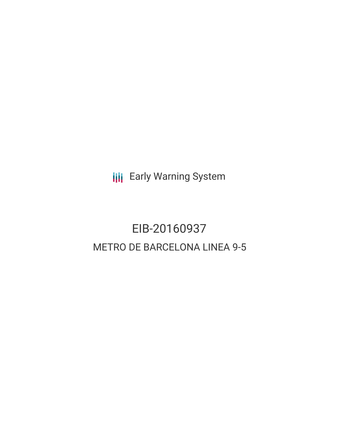**III** Early Warning System

# EIB-20160937 METRO DE BARCELONA LINEA 9-5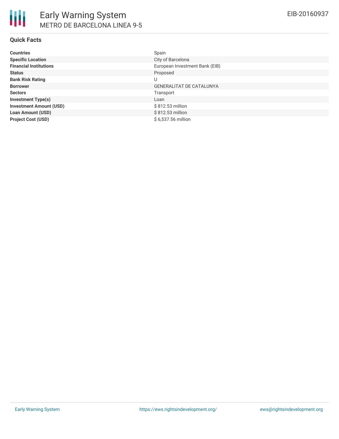| <b>Countries</b>               | Spain                           |
|--------------------------------|---------------------------------|
| <b>Specific Location</b>       | City of Barcelona               |
| <b>Financial Institutions</b>  | European Investment Bank (EIB)  |
| <b>Status</b>                  | Proposed                        |
| <b>Bank Risk Rating</b>        | U                               |
| <b>Borrower</b>                | <b>GENERALITAT DE CATALUNYA</b> |
| <b>Sectors</b>                 | Transport                       |
| <b>Investment Type(s)</b>      | Loan                            |
| <b>Investment Amount (USD)</b> | \$812.53 million                |
| <b>Loan Amount (USD)</b>       | \$812.53 million                |
| <b>Project Cost (USD)</b>      | \$6,537.56 million              |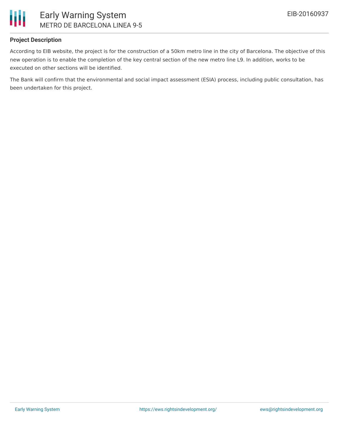

#### **Project Description**

According to EIB website, the project is for the construction of a 50km metro line in the city of Barcelona. The objective of this new operation is to enable the completion of the key central section of the new metro line L9. In addition, works to be executed on other sections will be identified.

The Bank will confirm that the environmental and social impact assessment (ESIA) process, including public consultation, has been undertaken for this project.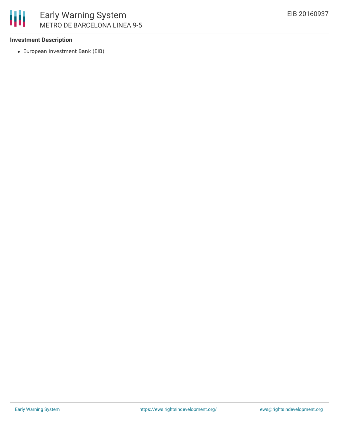

#### **Investment Description**

European Investment Bank (EIB)